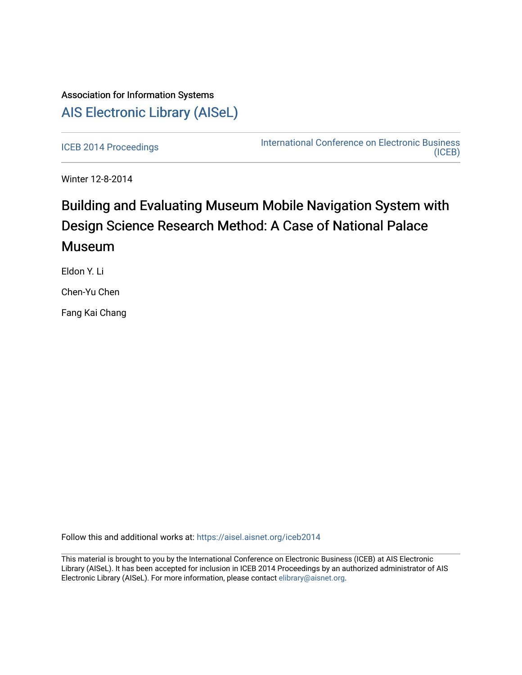## Association for Information Systems [AIS Electronic Library \(AISeL\)](https://aisel.aisnet.org/)

[ICEB 2014 Proceedings](https://aisel.aisnet.org/iceb2014) **International Conference on Electronic Business** [\(ICEB\)](https://aisel.aisnet.org/iceb) 

Winter 12-8-2014

# Building and Evaluating Museum Mobile Navigation System with Design Science Research Method: A Case of National Palace **Museum**

Eldon Y. Li

Chen-Yu Chen

Fang Kai Chang

Follow this and additional works at: [https://aisel.aisnet.org/iceb2014](https://aisel.aisnet.org/iceb2014?utm_source=aisel.aisnet.org%2Ficeb2014%2F50&utm_medium=PDF&utm_campaign=PDFCoverPages)

This material is brought to you by the International Conference on Electronic Business (ICEB) at AIS Electronic Library (AISeL). It has been accepted for inclusion in ICEB 2014 Proceedings by an authorized administrator of AIS Electronic Library (AISeL). For more information, please contact [elibrary@aisnet.org.](mailto:elibrary@aisnet.org%3E)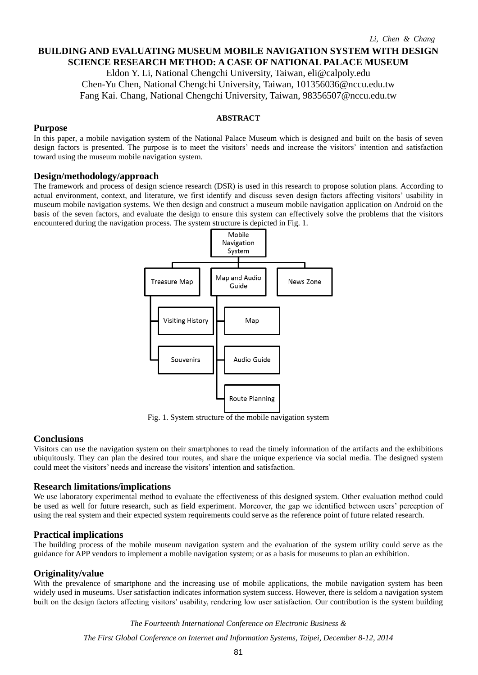### **BUILDING AND EVALUATING MUSEUM MOBILE NAVIGATION SYSTEM WITH DESIGN SCIENCE RESEARCH METHOD: A CASE OF NATIONAL PALACE MUSEUM**

Eldon Y. Li, National Chengchi University, Taiwan, eli@calpoly.edu Chen-Yu Chen, National Chengchi University, Taiwan, 101356036@nccu.edu.tw Fang Kai. Chang, National Chengchi University, Taiwan, 98356507@nccu.edu.tw

#### **ABSTRACT**

#### **Purpose**

In this paper, a mobile navigation system of the National Palace Museum which is designed and built on the basis of seven design factors is presented. The purpose is to meet the visitors' needs and increase the visitors' intention and satisfaction toward using the museum mobile navigation system.

#### **Design/methodology/approach**

The framework and process of design science research (DSR) is used in this research to propose solution plans. According to actual environment, context, and literature, we first identify and discuss seven design factors affecting visitors' usability in museum mobile navigation systems. We then design and construct a museum mobile navigation application on Android on the basis of the seven factors, and evaluate the design to ensure this system can effectively solve the problems that the visitors encountered during the navigation process. The system structure is depicted in Fig. 1.



Fig. 1. System structure of the mobile navigation system

#### **Conclusions**

Visitors can use the navigation system on their smartphones to read the timely information of the artifacts and the exhibitions ubiquitously. They can plan the desired tour routes, and share the unique experience via social media. The designed system could meet the visitors' needs and increase the visitors' intention and satisfaction.

#### **Research limitations/implications**

We use laboratory experimental method to evaluate the effectiveness of this designed system. Other evaluation method could be used as well for future research, such as field experiment. Moreover, the gap we identified between users' perception of using the real system and their expected system requirements could serve as the reference point of future related research.

#### **Practical implications**

The building process of the mobile museum navigation system and the evaluation of the system utility could serve as the guidance for APP vendors to implement a mobile navigation system; or as a basis for museums to plan an exhibition.

#### **Originality/value**

With the prevalence of smartphone and the increasing use of mobile applications, the mobile navigation system has been widely used in museums. User satisfaction indicates information system success. However, there is seldom a navigation system built on the design factors affecting visitors' usability, rendering low user satisfaction. Our contribution is the system building

*The Fourteenth International Conference on Electronic Business &*

*The First Global Conference on Internet and Information Systems, Taipei, December 8-12, 2014*